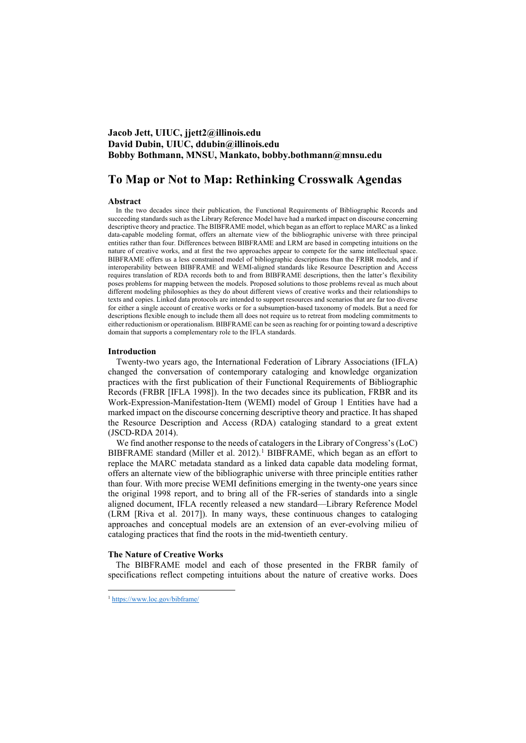## **Jacob Jett, UIUC, jjett2@illinois.edu David Dubin, UIUC, ddubin@illinois.edu Bobby Bothmann, MNSU, Mankato, bobby.bothmann@mnsu.edu**

# **To Map or Not to Map: Rethinking Crosswalk Agendas**

## **Abstract**

In the two decades since their publication, the Functional Requirements of Bibliographic Records and succeeding standards such as the Library Reference Model have had a marked impact on discourse concerning descriptive theory and practice. The BIBFRAME model, which began as an effort to replace MARC as a linked data-capable modeling format, offers an alternate view of the bibliographic universe with three principal entities rather than four. Differences between BIBFRAME and LRM are based in competing intuitions on the nature of creative works, and at first the two approaches appear to compete for the same intellectual space. BIBFRAME offers us a less constrained model of bibliographic descriptions than the FRBR models, and if interoperability between BIBFRAME and WEMI-aligned standards like Resource Description and Access requires translation of RDA records both to and from BIBFRAME descriptions, then the latter's flexibility poses problems for mapping between the models. Proposed solutions to those problems reveal as much about different modeling philosophies as they do about different views of creative works and their relationships to texts and copies. Linked data protocols are intended to support resources and scenarios that are far too diverse for either a single account of creative works or for a subsumption-based taxonomy of models. But a need for descriptions flexible enough to include them all does not require us to retreat from modeling commitments to either reductionism or operationalism. BIBFRAME can be seen as reaching for or pointing toward a descriptive domain that supports a complementary role to the IFLA standards.

### **Introduction**

Twenty-two years ago, the International Federation of Library Associations (IFLA) changed the conversation of contemporary cataloging and knowledge organization practices with the first publication of their Functional Requirements of Bibliographic Records (FRBR [IFLA 1998]). In the two decades since its publication, FRBR and its Work-Expression-Manifestation-Item (WEMI) model of Group 1 Entities have had a marked impact on the discourse concerning descriptive theory and practice. It has shaped the Resource Description and Access (RDA) cataloging standard to a great extent (JSCD-RDA 2014).

We find another response to the needs of catalogers in the Library of Congress's (LoC) BIBFRAME standard (Miller et al. 20[1](#page-0-0)2).<sup>1</sup> BIBFRAME, which began as an effort to replace the MARC metadata standard as a linked data capable data modeling format, offers an alternate view of the bibliographic universe with three principle entities rather than four. With more precise WEMI definitions emerging in the twenty-one years since the original 1998 report, and to bring all of the FR-series of standards into a single aligned document, IFLA recently released a new standard—Library Reference Model (LRM [Riva et al. 2017]). In many ways, these continuous changes to cataloging approaches and conceptual models are an extension of an ever-evolving milieu of cataloging practices that find the roots in the mid-twentieth century.

## **The Nature of Creative Works**

The BIBFRAME model and each of those presented in the FRBR family of specifications reflect competing intuitions about the nature of creative works. Does

<span id="page-0-0"></span><sup>1</sup> <https://www.loc.gov/bibframe/>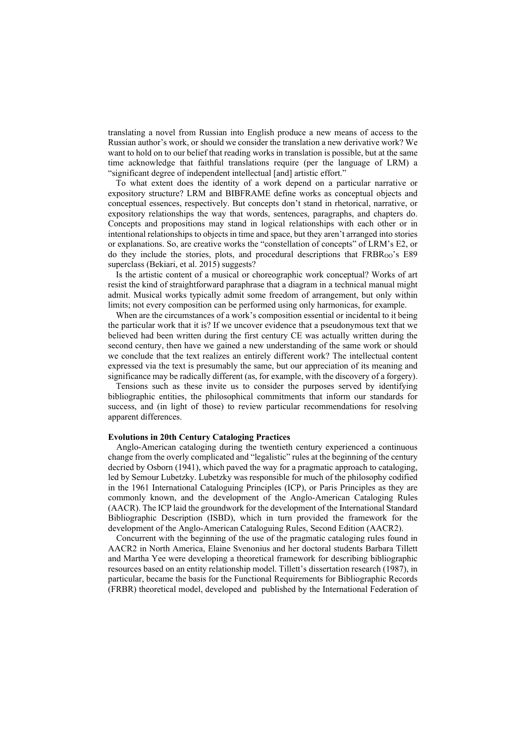translating a novel from Russian into English produce a new means of access to the Russian author's work, or should we consider the translation a new derivative work? We want to hold on to our belief that reading works in translation is possible, but at the same time acknowledge that faithful translations require (per the language of LRM) a "significant degree of independent intellectual [and] artistic effort."

To what extent does the identity of a work depend on a particular narrative or expository structure? LRM and BIBFRAME define works as conceptual objects and conceptual essences, respectively. But concepts don't stand in rhetorical, narrative, or expository relationships the way that words, sentences, paragraphs, and chapters do. Concepts and propositions may stand in logical relationships with each other or in intentional relationships to objects in time and space, but they aren't arranged into stories or explanations. So, are creative works the "constellation of concepts" of LRM's E2, or do they include the stories, plots, and procedural descriptions that  $FRBR_{OO}$ 's E89 superclass (Bekiari, et al. 2015) suggests?

Is the artistic content of a musical or choreographic work conceptual? Works of art resist the kind of straightforward paraphrase that a diagram in a technical manual might admit. Musical works typically admit some freedom of arrangement, but only within limits; not every composition can be performed using only harmonicas, for example.

When are the circumstances of a work's composition essential or incidental to it being the particular work that it is? If we uncover evidence that a pseudonymous text that we believed had been written during the first century CE was actually written during the second century, then have we gained a new understanding of the same work or should we conclude that the text realizes an entirely different work? The intellectual content expressed via the text is presumably the same, but our appreciation of its meaning and significance may be radically different (as, for example, with the discovery of a forgery).

Tensions such as these invite us to consider the purposes served by identifying bibliographic entities, the philosophical commitments that inform our standards for success, and (in light of those) to review particular recommendations for resolving apparent differences.

## **Evolutions in 20th Century Cataloging Practices**

Anglo-American cataloging during the twentieth century experienced a continuous change from the overly complicated and "legalistic" rules at the beginning of the century decried by Osborn (1941), which paved the way for a pragmatic approach to cataloging, led by Semour Lubetzky. Lubetzky was responsible for much of the philosophy codified in the 1961 International Cataloguing Principles (ICP), or Paris Principles as they are commonly known, and the development of the Anglo-American Cataloging Rules (AACR). The ICP laid the groundwork for the development of the International Standard Bibliographic Description (ISBD), which in turn provided the framework for the development of the Anglo-American Cataloguing Rules, Second Edition (AACR2).

Concurrent with the beginning of the use of the pragmatic cataloging rules found in AACR2 in North America, Elaine Svenonius and her doctoral students Barbara Tillett and Martha Yee were developing a theoretical framework for describing bibliographic resources based on an entity relationship model. Tillett's dissertation research (1987), in particular, became the basis for the Functional Requirements for Bibliographic Records (FRBR) theoretical model, developed and published by the International Federation of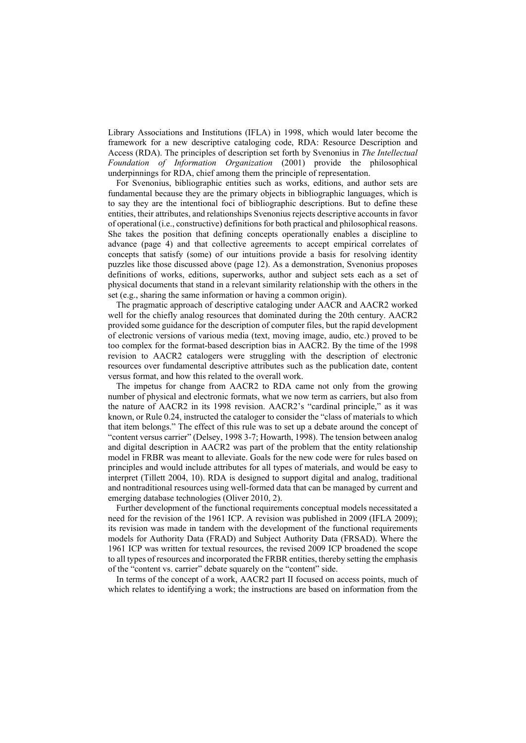Library Associations and Institutions (IFLA) in 1998, which would later become the framework for a new descriptive cataloging code, RDA: Resource Description and Access (RDA). The principles of description set forth by Svenonius in *The Intellectual Foundation of Information Organization* (2001) provide the philosophical underpinnings for RDA, chief among them the principle of representation.

For Svenonius, bibliographic entities such as works, editions, and author sets are fundamental because they are the primary objects in bibliographic languages, which is to say they are the intentional foci of bibliographic descriptions. But to define these entities, their attributes, and relationships Svenonius rejects descriptive accounts in favor of operational (i.e., constructive) definitions for both practical and philosophical reasons. She takes the position that defining concepts operationally enables a discipline to advance (page 4) and that collective agreements to accept empirical correlates of concepts that satisfy (some) of our intuitions provide a basis for resolving identity puzzles like those discussed above (page 12). As a demonstration, Svenonius proposes definitions of works, editions, superworks, author and subject sets each as a set of physical documents that stand in a relevant similarity relationship with the others in the set (e.g., sharing the same information or having a common origin).

The pragmatic approach of descriptive cataloging under AACR and AACR2 worked well for the chiefly analog resources that dominated during the 20th century. AACR2 provided some guidance for the description of computer files, but the rapid development of electronic versions of various media (text, moving image, audio, etc.) proved to be too complex for the format-based description bias in AACR2. By the time of the 1998 revision to AACR2 catalogers were struggling with the description of electronic resources over fundamental descriptive attributes such as the publication date, content versus format, and how this related to the overall work.

The impetus for change from AACR2 to RDA came not only from the growing number of physical and electronic formats, what we now term as carriers, but also from the nature of AACR2 in its 1998 revision. AACR2's "cardinal principle," as it was known, or Rule 0.24, instructed the cataloger to consider the "class of materials to which that item belongs." The effect of this rule was to set up a debate around the concept of "content versus carrier" (Delsey, 1998 3-7; Howarth, 1998). The tension between analog and digital description in AACR2 was part of the problem that the entity relationship model in FRBR was meant to alleviate. Goals for the new code were for rules based on principles and would include attributes for all types of materials, and would be easy to interpret (Tillett 2004, 10). RDA is designed to support digital and analog, traditional and nontraditional resources using well-formed data that can be managed by current and emerging database technologies (Oliver 2010, 2).

Further development of the functional requirements conceptual models necessitated a need for the revision of the 1961 ICP. A revision was published in 2009 (IFLA 2009); its revision was made in tandem with the development of the functional requirements models for Authority Data (FRAD) and Subject Authority Data (FRSAD). Where the 1961 ICP was written for textual resources, the revised 2009 ICP broadened the scope to all types of resources and incorporated the FRBR entities, thereby setting the emphasis of the "content vs. carrier" debate squarely on the "content" side.

In terms of the concept of a work, AACR2 part II focused on access points, much of which relates to identifying a work; the instructions are based on information from the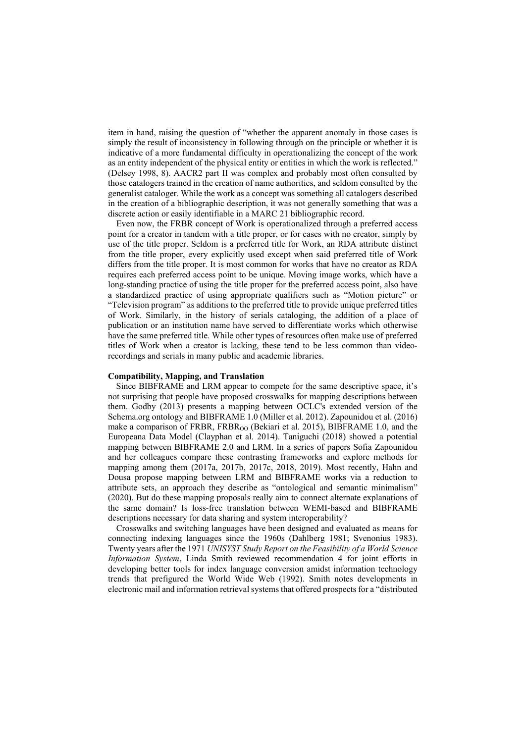item in hand, raising the question of "whether the apparent anomaly in those cases is simply the result of inconsistency in following through on the principle or whether it is indicative of a more fundamental difficulty in operationalizing the concept of the work as an entity independent of the physical entity or entities in which the work is reflected." (Delsey 1998, 8). AACR2 part II was complex and probably most often consulted by those catalogers trained in the creation of name authorities, and seldom consulted by the generalist cataloger. While the work as a concept was something all catalogers described in the creation of a bibliographic description, it was not generally something that was a discrete action or easily identifiable in a MARC 21 bibliographic record.

Even now, the FRBR concept of Work is operationalized through a preferred access point for a creator in tandem with a title proper, or for cases with no creator, simply by use of the title proper. Seldom is a preferred title for Work, an RDA attribute distinct from the title proper, every explicitly used except when said preferred title of Work differs from the title proper. It is most common for works that have no creator as RDA requires each preferred access point to be unique. Moving image works, which have a long-standing practice of using the title proper for the preferred access point, also have a standardized practice of using appropriate qualifiers such as "Motion picture" or "Television program" as additions to the preferred title to provide unique preferred titles of Work. Similarly, in the history of serials cataloging, the addition of a place of publication or an institution name have served to differentiate works which otherwise have the same preferred title. While other types of resources often make use of preferred titles of Work when a creator is lacking, these tend to be less common than videorecordings and serials in many public and academic libraries.

#### **Compatibility, Mapping, and Translation**

Since BIBFRAME and LRM appear to compete for the same descriptive space, it's not surprising that people have proposed crosswalks for mapping descriptions between them. Godby (2013) presents a mapping between OCLC's extended version of the Schema.org ontology and BIBFRAME 1.0 (Miller et al. 2012). Zapounidou et al. (2016) make a comparison of FRBR, FRBR<sub>OO</sub> (Bekiari et al. 2015), BIBFRAME 1.0, and the Europeana Data Model (Clayphan et al. 2014). Taniguchi (2018) showed a potential mapping between BIBFRAME 2.0 and LRM. In a series of papers Sofia Zapounidou and her colleagues compare these contrasting frameworks and explore methods for mapping among them (2017a, 2017b, 2017c, 2018, 2019). Most recently, Hahn and Dousa propose mapping between LRM and BIBFRAME works via a reduction to attribute sets, an approach they describe as "ontological and semantic minimalism" (2020). But do these mapping proposals really aim to connect alternate explanations of the same domain? Is loss-free translation between WEMI-based and BIBFRAME descriptions necessary for data sharing and system interoperability?

Crosswalks and switching languages have been designed and evaluated as means for connecting indexing languages since the 1960s (Dahlberg 1981; Svenonius 1983). Twenty years after the 1971 *UNISYST Study Report on the Feasibility of a World Science Information System*, Linda Smith reviewed recommendation 4 for joint efforts in developing better tools for index language conversion amidst information technology trends that prefigured the World Wide Web (1992). Smith notes developments in electronic mail and information retrieval systems that offered prospects for a "distributed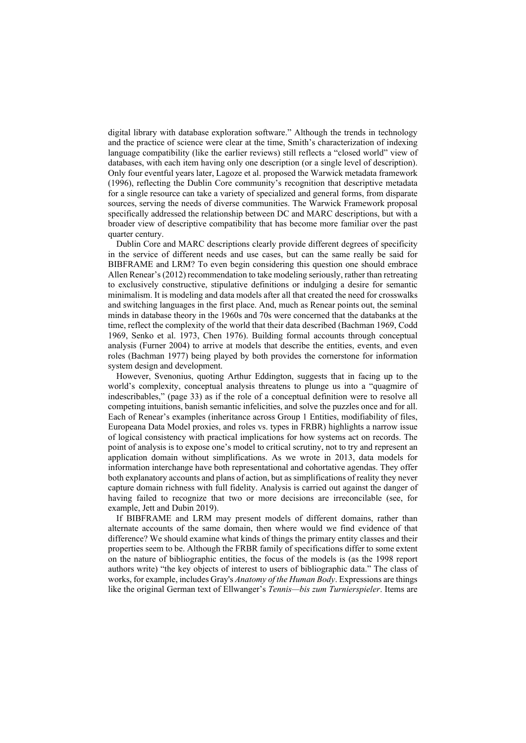digital library with database exploration software." Although the trends in technology and the practice of science were clear at the time, Smith's characterization of indexing language compatibility (like the earlier reviews) still reflects a "closed world" view of databases, with each item having only one description (or a single level of description). Only four eventful years later, Lagoze et al. proposed the Warwick metadata framework (1996), reflecting the Dublin Core community's recognition that descriptive metadata for a single resource can take a variety of specialized and general forms, from disparate sources, serving the needs of diverse communities. The Warwick Framework proposal specifically addressed the relationship between DC and MARC descriptions, but with a broader view of descriptive compatibility that has become more familiar over the past quarter century.

Dublin Core and MARC descriptions clearly provide different degrees of specificity in the service of different needs and use cases, but can the same really be said for BIBFRAME and LRM? To even begin considering this question one should embrace Allen Renear's (2012) recommendation to take modeling seriously, rather than retreating to exclusively constructive, stipulative definitions or indulging a desire for semantic minimalism. It is modeling and data models after all that created the need for crosswalks and switching languages in the first place. And, much as Renear points out, the seminal minds in database theory in the 1960s and 70s were concerned that the databanks at the time, reflect the complexity of the world that their data described (Bachman 1969, Codd 1969, Senko et al. 1973, Chen 1976). Building formal accounts through conceptual analysis (Furner 2004) to arrive at models that describe the entities, events, and even roles (Bachman 1977) being played by both provides the cornerstone for information system design and development.

However, Svenonius, quoting Arthur Eddington, suggests that in facing up to the world's complexity, conceptual analysis threatens to plunge us into a "quagmire of indescribables," (page 33) as if the role of a conceptual definition were to resolve all competing intuitions, banish semantic infelicities, and solve the puzzles once and for all. Each of Renear's examples (inheritance across Group 1 Entities, modifiability of files, Europeana Data Model proxies, and roles vs. types in FRBR) highlights a narrow issue of logical consistency with practical implications for how systems act on records. The point of analysis is to expose one's model to critical scrutiny, not to try and represent an application domain without simplifications. As we wrote in 2013, data models for information interchange have both representational and cohortative agendas. They offer both explanatory accounts and plans of action, but as simplifications of reality they never capture domain richness with full fidelity. Analysis is carried out against the danger of having failed to recognize that two or more decisions are irreconcilable (see, for example, Jett and Dubin 2019).

If BIBFRAME and LRM may present models of different domains, rather than alternate accounts of the same domain, then where would we find evidence of that difference? We should examine what kinds of things the primary entity classes and their properties seem to be. Although the FRBR family of specifications differ to some extent on the nature of bibliographic entities, the focus of the models is (as the 1998 report authors write) "the key objects of interest to users of bibliographic data." The class of works, for example, includes Gray's *Anatomy of the Human Body*. Expressions are things like the original German text of Ellwanger's *Tennis—bis zum Turnierspieler*. Items are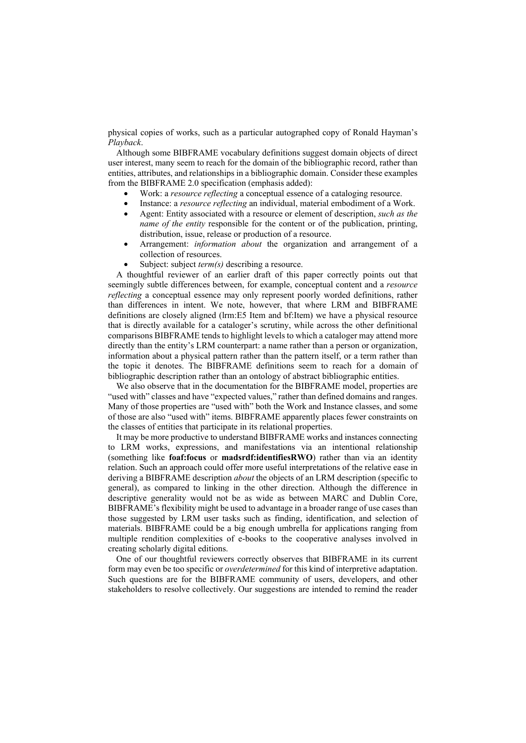physical copies of works, such as a particular autographed copy of Ronald Hayman's *Playback*.

Although some BIBFRAME vocabulary definitions suggest domain objects of direct user interest, many seem to reach for the domain of the bibliographic record, rather than entities, attributes, and relationships in a bibliographic domain. Consider these examples from the BIBFRAME 2.0 specification (emphasis added):

- Work: a *resource reflecting* a conceptual essence of a cataloging resource.
- Instance: a *resource reflecting* an individual, material embodiment of a Work.
- Agent: Entity associated with a resource or element of description, *such as the name of the entity* responsible for the content or of the publication, printing, distribution, issue, release or production of a resource.
- Arrangement: *information about* the organization and arrangement of a collection of resources.
- Subject: subject *term(s)* describing a resource.

A thoughtful reviewer of an earlier draft of this paper correctly points out that seemingly subtle differences between, for example, conceptual content and a *resource reflecting* a conceptual essence may only represent poorly worded definitions, rather than differences in intent. We note, however, that where LRM and BIBFRAME definitions are closely aligned (lrm:E5 Item and bf:Item) we have a physical resource that is directly available for a cataloger's scrutiny, while across the other definitional comparisons BIBFRAME tends to highlight levels to which a cataloger may attend more directly than the entity's LRM counterpart: a name rather than a person or organization, information about a physical pattern rather than the pattern itself, or a term rather than the topic it denotes. The BIBFRAME definitions seem to reach for a domain of bibliographic description rather than an ontology of abstract bibliographic entities.

We also observe that in the documentation for the BIBFRAME model, properties are "used with" classes and have "expected values," rather than defined domains and ranges. Many of those properties are "used with" both the Work and Instance classes, and some of those are also "used with" items. BIBFRAME apparently places fewer constraints on the classes of entities that participate in its relational properties.

It may be more productive to understand BIBFRAME works and instances connecting to LRM works, expressions, and manifestations via an intentional relationship (something like **foaf:focus** or **madsrdf:identifiesRWO**) rather than via an identity relation. Such an approach could offer more useful interpretations of the relative ease in deriving a BIBFRAME description *about* the objects of an LRM description (specific to general), as compared to linking in the other direction. Although the difference in descriptive generality would not be as wide as between MARC and Dublin Core, BIBFRAME's flexibility might be used to advantage in a broader range of use cases than those suggested by LRM user tasks such as finding, identification, and selection of materials. BIBFRAME could be a big enough umbrella for applications ranging from multiple rendition complexities of e-books to the cooperative analyses involved in creating scholarly digital editions.

One of our thoughtful reviewers correctly observes that BIBFRAME in its current form may even be too specific or *overdetermined* for this kind of interpretive adaptation. Such questions are for the BIBFRAME community of users, developers, and other stakeholders to resolve collectively. Our suggestions are intended to remind the reader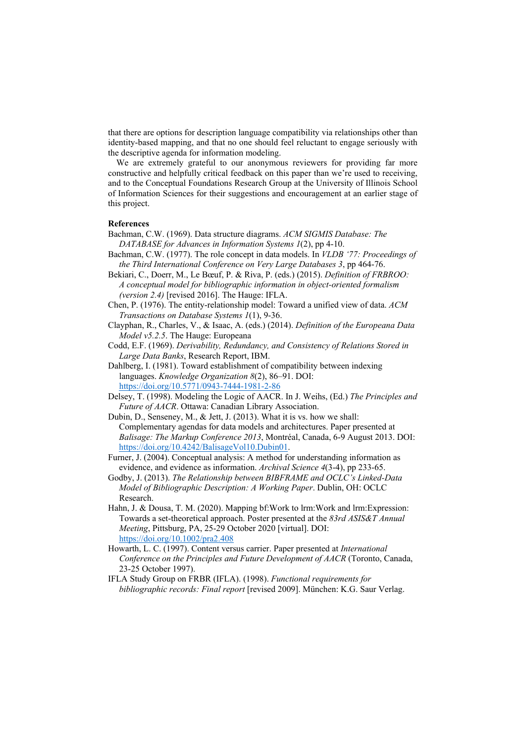that there are options for description language compatibility via relationships other than identity-based mapping, and that no one should feel reluctant to engage seriously with the descriptive agenda for information modeling.

We are extremely grateful to our anonymous reviewers for providing far more constructive and helpfully critical feedback on this paper than we're used to receiving, and to the Conceptual Foundations Research Group at the University of Illinois School of Information Sciences for their suggestions and encouragement at an earlier stage of this project.

#### **References**

- Bachman, C.W. (1969). Data structure diagrams. *ACM SIGMIS Database: The DATABASE for Advances in Information Systems 1*(2), pp 4-10.
- Bachman, C.W. (1977). The role concept in data models. In *VLDB '77: Proceedings of the Third International Conference on Very Large Databases 3*, pp 464-76.
- Bekiari, C., Doerr, M., Le Bœuf, P. & Riva, P. (eds.) (2015). *Definition of FRBROO: A conceptual model for bibliographic information in object-oriented formalism (version 2.4)* [revised 2016]. The Hauge: IFLA.
- Chen, P. (1976). The entity-relationship model: Toward a unified view of data. *ACM Transactions on Database Systems 1*(1), 9-36.
- Clayphan, R., Charles, V., & Isaac, A. (eds.) (2014). *Definition of the Europeana Data Model v5.2.5*. The Hauge: Europeana
- Codd, E.F. (1969). *Derivability, Redundancy, and Consistency of Relations Stored in Large Data Banks*, Research Report, IBM.
- Dahlberg, I. (1981). Toward establishment of compatibility between indexing languages. *Knowledge Organization 8*(2), 86–91. DOI: <https://doi.org/10.5771/0943-7444-1981-2-86>
- Delsey, T. (1998). Modeling the Logic of AACR. In J. Weihs, (Ed.) *The Principles and Future of AACR*. Ottawa: Canadian Library Association.

Dubin, D., Senseney, M., & Jett, J. (2013). What it is vs. how we shall: Complementary agendas for data models and architectures. Paper presented at *Balisage: The Markup Conference 2013*, Montréal, Canada, 6-9 August 2013. DOI: [https://doi.org/10.4242/BalisageVol10.Dubin01.](https://doi.org/10.4242/BalisageVol10.Dubin01)

- Furner, J. (2004). Conceptual analysis: A method for understanding information as evidence, and evidence as information. *Archival Science 4*(3-4), pp 233-65.
- Godby, J. (2013). *The Relationship between BIBFRAME and OCLC's Linked-Data Model of Bibliographic Description: A Working Paper*. Dublin, OH: OCLC Research.
- Hahn, J. & Dousa, T. M. (2020). Mapping bf:Work to lrm:Work and lrm:Expression: Towards a set-theoretical approach. Poster presented at the *83rd ASIS&T Annual Meeting*, Pittsburg, PA, 25-29 October 2020 [virtual]. DOI: <https://doi.org/10.1002/pra2.408>
- Howarth, L. C. (1997). Content versus carrier. Paper presented at *International Conference on the Principles and Future Development of AACR* (Toronto, Canada, 23-25 October 1997).
- IFLA Study Group on FRBR (IFLA). (1998). *Functional requirements for bibliographic records: Final report* [revised 2009]. München: K.G. Saur Verlag.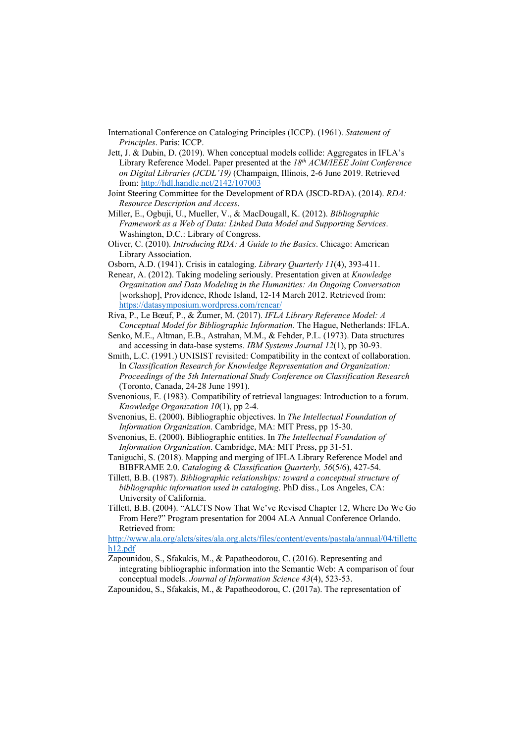- International Conference on Cataloging Principles (ICCP). (1961). *Statement of Principles*. Paris: ICCP.
- Jett, J. & Dubin, D. (2019). When conceptual models collide: Aggregates in IFLA's Library Reference Model. Paper presented at the *18th ACM/IEEE Joint Conference on Digital Libraries (JCDL'19)* (Champaign, Illinois, 2-6 June 2019. Retrieved from[: http://hdl.handle.net/2142/107003](http://hdl.handle.net/2142/107003)
- Joint Steering Committee for the Development of RDA (JSCD-RDA). (2014). *RDA: Resource Description and Access*.
- Miller, E., Ogbuji, U., Mueller, V., & MacDougall, K. (2012). *Bibliographic Framework as a Web of Data: Linked Data Model and Supporting Services*. Washington, D.C.: Library of Congress.
- Oliver, C. (2010). *Introducing RDA: A Guide to the Basics*. Chicago: American Library Association.
- Osborn, A.D. (1941). Crisis in cataloging. *Library Quarterly 11*(4), 393-411.
- Renear, A. (2012). Taking modeling seriously. Presentation given at *Knowledge Organization and Data Modeling in the Humanities: An Ongoing Conversation* [workshop], Providence, Rhode Island, 12-14 March 2012. Retrieved from: <https://datasymposium.wordpress.com/renear/>
- Riva, P., Le Bœuf, P., & Žumer, M. (2017). *IFLA Library Reference Model: A Conceptual Model for Bibliographic Information*. The Hague, Netherlands: IFLA.
- Senko, M.E., Altman, E.B., Astrahan, M.M., & Fehder, P.L. (1973). Data structures and accessing in data-base systems. *IBM Systems Journal 12*(1), pp 30-93.
- Smith, L.C. (1991.) UNISIST revisited: Compatibility in the context of collaboration. In *Classification Research for Knowledge Representation and Organization: Proceedings of the 5th International Study Conference on Classification Research* (Toronto, Canada, 24-28 June 1991).
- Svenonious, E. (1983). Compatibility of retrieval languages: Introduction to a forum. *Knowledge Organization 10*(1), pp 2-4.
- Svenonius, E. (2000). Bibliographic objectives. In *The Intellectual Foundation of Information Organization*. Cambridge, MA: MIT Press, pp 15-30.
- Svenonius, E. (2000). Bibliographic entities. In *The Intellectual Foundation of Information Organization*. Cambridge, MA: MIT Press, pp 31-51.
- Taniguchi, S. (2018). Mapping and merging of IFLA Library Reference Model and BIBFRAME 2.0. *Cataloging & Classification Quarterly, 56*(5/6), 427-54.
- Tillett, B.B. (1987). *Bibliographic relationships: toward a conceptual structure of bibliographic information used in cataloging*. PhD diss., Los Angeles, CA: University of California.
- Tillett, B.B. (2004). "ALCTS Now That We've Revised Chapter 12, Where Do We Go From Here?" Program presentation for 2004 ALA Annual Conference Orlando. Retrieved from:

[http://www.ala.org/alcts/sites/ala.org.alcts/files/content/events/pastala/annual/04/tillettc](http://www.ala.org/alcts/sites/ala.org.alcts/files/content/events/pastala/annual/04/tillettch12.pdf) [h12.pdf](http://www.ala.org/alcts/sites/ala.org.alcts/files/content/events/pastala/annual/04/tillettch12.pdf)

- Zapounidou, S., Sfakakis, M., & Papatheodorou, C. (2016). Representing and integrating bibliographic information into the Semantic Web: A comparison of four conceptual models. *Journal of Information Science 43*(4), 523-53.
- Zapounidou, S., Sfakakis, M., & Papatheodorou, C. (2017a). The representation of